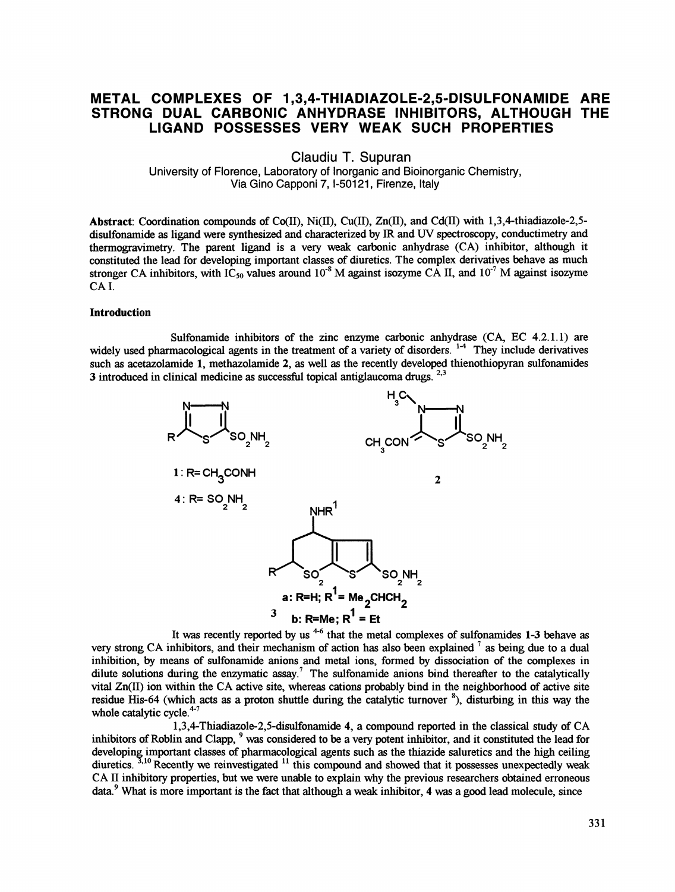## METAL COMPLEXES OF 1,3,4-THIADIAZOLE-2,5-DISULFONAMIDE ARE STRONG DUAL CARBONIC ANHYDRASE INHIBITORS, ALTHOUGH THE LIGAND POSSESSES VERY WEAK SUCH PROPERTIES

Claudiu T. Supuran

University of Florence, Laboratory of Inorganic and Bioinorganic Chemistry, Via Gino Capponi 7, 1-50121, Firenze, Italy

Abstract: Coordination compounds of Co(II), Ni(II), Cu(II), Zn(II), and Cd(II) with 1,3,4-thiadiazole-2,5 disulfonamide as ligand were synthesized and characterized by IR and UV spectroscopy, conductimetry and thermogravimetry. The parent ligand is a very weak carbonic anhydrase (CA) inhibitor, although it constituted the lead for developing important classes of diuretics. The complex derivatives behave as much stronger CA inhibitors, with  $IC_{50}$  values around 10<sup>-8</sup> M against isozyme CA II, and 10<sup>-7</sup> M against isozyme CAI.

#### Introduction

Sulfonamide inhibitors of the zinc enzyme carbonic anhydrase (CA, EC 4.2.1.1) are widely used pharmacological agents in the treatment of a variety of disorders. <sup>1-4</sup> They include derivatives such as acetazolamide 1, methazolamide 2, as well as the recently developed thienothiopyran sulfonamides 3 introduced in clinical medicine as successful topical antiglaucoma drugs.  $2,3$ 



It was recently reported by us  $4-6$  that the metal complexes of sulfonamides 1-3 behave as very strong CA inhibitors, and their mechanism of action has also been explained  $\alpha$  as being due to a dual inhibition, by means of sulfonamide anions and metal ions, formed by dissociation of the complexes in dilute solutions during the enzymatic assay. The sulfonamide anions bind thereafter to the catalytically vital Zn(II) ion within the CA active site, whereas cations probably bind in the neighborhood of active site residue His-64 (which acts as a proton shuttle during the catalytic turnover  $\delta$ ), disturbing in this way the whole catalytic cycle. $4<sup>2</sup>$ 

1,3,4-Thiadiazole-2,5-disulfonamide 4, a compound reported in the classical study of CA inhibitors of Roblin and Clapp, <sup>9</sup> was considered to be a very potent inhibitor, and it constituted the lead for developing important classes of pharmacological agents such as the thiazide saluretics and the high ceiling diuretics.<sup>3,10</sup> Recently we reinvestigated <sup>11</sup> this compound and showed that it possesses unexpectedly weak CA II inhibitory properties, but we were unable to explain why the previous researchers obtained erroneous data.<sup>9</sup> What is more important is the fact that although a weak inhibitor, 4 was a good lead molecule, since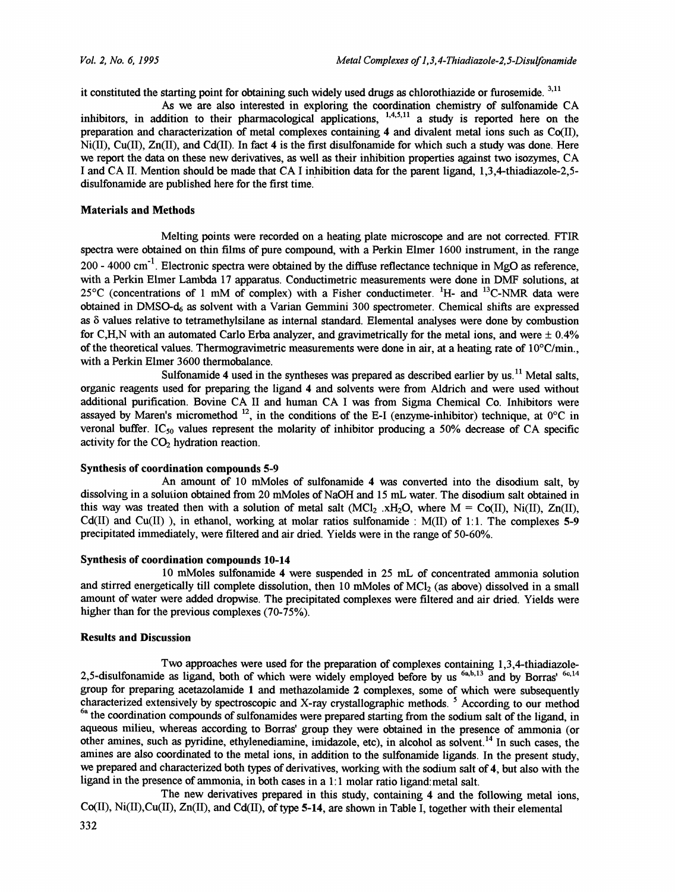it constituted the starting point for obtaining such widely used drugs as chlorothiazide or furosemide.<sup>3,11</sup>

As we are also interested in exploring the coordination chemistry of sulfonamide CA inhibitors, in addition to their pharmacological applications,  $1,4,5,11$  a study is reported here on the preparation and characterization of metal complexes containing 4 and divalent metal ions such as Co(II), Ni(II), Cu(II), Zn(II), and Cd(II). In fact 4 is the first disulfonamide for which such a study was done. Here we report the data on these new derivatives, as well as their inhibition properties against two isozymes, CA <sup>I</sup> and CA II. Mention should be made that CA <sup>I</sup> inhibition data for the parent ligand, 1,3,4-thiadiazole-2,5 disulfonamide are published here for the first time.

## Materials and Methods

Melting points were recorded on a heating plate microscope and are not corrected. FTIR spectra were obtained on thin films of pure compound, with a Perkin Elmer 1600 instrument, in the range 200 - 4000 cm<sup>-1</sup>. Electronic spectra were obtained by the diffuse reflectance technique in MgO as reference, with a Perkin Elmer Lambda 17 apparatus. Conductimetric measurements were done in DMF solutions, at  $25^{\circ}$ C (concentrations of 1 mM of complex) with a Fisher conductimeter.  $^{1}$ H- and  $^{13}$ C-NMR data were obtained in DMSO- $d_6$  as solvent with a Varian Gemmini 300 spectrometer. Chemical shifts are expressed as  $\delta$  values relative to tetramethylsilane as internal standard. Elemental analyses were done by combustion for C,H,N with an automated Carlo Erba analyzer, and gravimetrically for the metal ions, and were  $\pm$  0.4% of the theoretical values. Thermogravimetric measurements were done in air, at a heating rate of  $10^{\circ}$ C/min., with a Perkin Elmer 3600 thermobalance.

Sulfonamide 4 used in the syntheses was prepared as described earlier by us.<sup>11</sup> Metal salts, organic reagents used for preparing the ligand 4 and solvents were from Aldrich and were used without additional purification. Bovine CA II and human CA <sup>I</sup> was from Sigma Chemical Co. Inhibitors were assayed by Maren's micromethod  $^{12}$ , in the conditions of the E-I (enzyme-inhibitor) technique, at 0°C in veronal buffer.  $IC_{50}$  values represent the molarity of inhibitor producing a 50% decrease of CA specific activity for the  $CO<sub>2</sub>$  hydration reaction.

## Synthesis of coordination compounds 5-9

An amount of <sup>10</sup> mMoles of sulfonamide 4 was converted into the disodium salt, by dissolving in a solution obtained from 20 mMoles of NaOH and <sup>15</sup> mL water. The disodium salt obtained in this way was treated then with a solution of metal salt (MCl<sub>2</sub> .xH<sub>2</sub>O, where M = Co(II), Ni(II), Zn(II), Cd(II) and Cu(II)), in ethanol, working at molar ratios sulfonamide :  $M(II)$  of 1:1. The complexes 5-9 precipitated immediately, were filtered and air dried. Yields were in the range of 50-60%.

## Synthesis of coordination compounds 10-14

<sup>10</sup> mMoles sulfonamide <sup>4</sup> were suspended in <sup>25</sup> mL of concentrated ammonia solution and stirred energetically till complete dissolution, then 10 mMoles of MCl<sub>2</sub> (as above) dissolved in a small amount of water were added dropwise. The precipitated complexes were filtered and air dried. Yields were higher than for the previous complexes (70-75%).

#### Results and Discussion

Two approaches were used for the preparation of complexes containing 1,3,4-thiadiazole-2,5-disulfonamide as ligand, both of which were widely employed before by us  $^{6a,b,13}$  and by Borras'  $^{6c,14}$ group for preparing acetazolamide <sup>1</sup> and methazolamide 2 complexes, some of which were subsequently characterized extensively by spectroscopic and X-ray crystallographic methods.<sup>5</sup> According to our method <sup>6a</sup> the coordination compounds of sulfonamides were prepared starting from the sodium salt of the ligand, in aqueous milieu, whereas according to Borras' group they were obtained in the presence of ammonia (or other amines, such as pyridine, ethylenediamine, imidazole, etc), in alcohol as solvent. <sup>14</sup> In such cases, the amines are also coordinated to the metal ions, in addition to the sulfonamide ligands. In the present study, we prepared and characterized both types of derivatives, working with the sodium salt of 4, but also with the ligand in the presence of ammonia, in both cases in a 1:1 molar ratio ligand:metal salt.

The new derivatives prepared in this study, containing 4 and the following metal ions, Co(II), Ni(II),Cu(II), Zn(II), and Cd(II), of type 5-14, are shown in Table I, together with their elemental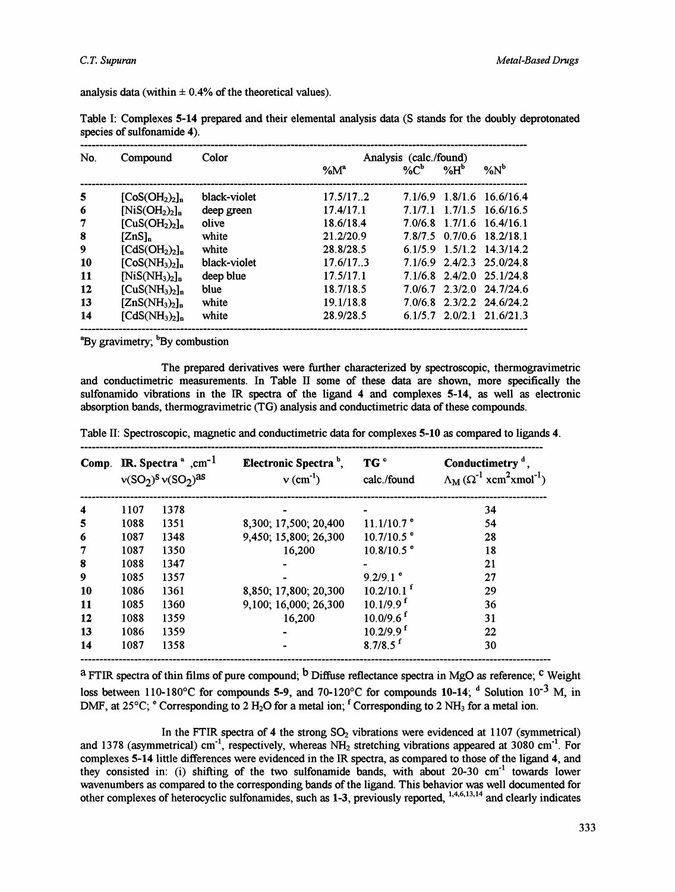analysis data (within  $\pm$  0.4% of the theoretical values).

| No. | Compound             | Color        | Analysis (calc./found) |               |         |                                 |
|-----|----------------------|--------------|------------------------|---------------|---------|---------------------------------|
|     |                      |              | $%M^a$                 | % $C^{\rm b}$ | % $H^b$ | $\%N^b$                         |
| 5   | $[CoS(OH2)2]n$       | black-violet | 17.5/17.2              |               |         | 7.1/6.9 1.8/1.6 16.6/16.4       |
| 6   | $[NiS(OH2)2]n$       | deep green   | 17.4/17.1              | 7.1/7.1       |         | $1.7/1.5$ 16.6/16.5             |
| 7   | $[CuS(OH2)2]n$       | olive        | 18.6/18.4              |               |         | 7.0/6.8 1.7/1.6 16.4/16.1       |
| 8   | $[ZnS]_n$            | white        | 21.2/20.9              |               |         | 7.8/7.5 0.7/0.6 18.2/18.1       |
| 9   | $[CdS(OH2)2]n$       | white        | 28.8/28.5              |               |         | $6.1/5.9$ $1.5/1.2$ $14.3/14.2$ |
| 10  | $[CoS(NH_3)_2]_n$    | black-violet | 17.6/17.3              |               |         | $7.1/6.9$ $2.4/2.3$ $25.0/24.8$ |
| 11  | $[NiS(NH_3)_2]_n$    | deep blue    | 17.5/17.1              |               |         | 7.1/6.8 2.4/2.0 25.1/24.8       |
| 12  | $[CuS(NH3)2]n$       | blue         | 18.7/18.5              |               |         | 7.0/6.7 2.3/2.0 24.7/24.6       |
| 13  | $[ZnS(NH_3)_2]_n$    | white        | 19.1/18.8              |               |         | 7.0/6.8 2.3/2.2 24.6/24.2       |
| 14  | $\text{[CdS(NH3)2]}$ | white        | 28.9/28.5              |               |         | $6.1/5.7$ $2.0/2.1$ $21.6/21.3$ |

Table I: Complexes 5-14 prepared and their elemental analysis data (S stands for the doubly deprotonated species of sulfonamide 4).

 ${}^{4}$ By gravimetry;  ${}^{b}$ By combustion

The prepared derivatives were further characterized by spectroscopic, thermogravimetric and conductimetric measurements. In Table II some of these data are shown, more specifically the sulfonamido vibrations in the IR spectra of the ligand 4 and complexes 5-14, as well as electronic absorption bands, thermogravimetric (TG) analysis and conductimetric data of these compounds.

|       | -----                                    | -------------                     |                      |                            |
|-------|------------------------------------------|-----------------------------------|----------------------|----------------------------|
| Comp. | IR. Spectra $\degree$ , cm <sup>-1</sup> | Electronic Spectra <sup>b</sup> , | TG °                 | Conductimetry <sup>d</sup> |
|       | (0.00, 0.00, 0.00)                       | $\sim$ $\sim$ $\sim$              | $\sim$ $\sim$ $\sim$ | $\sim$ -1                  |

Table II: Spectroscopic, magnetic and conductimetric data for complexes 5-10 as compared to ligands 4.

|    | $v(SO_2)^S v(SO_2)^{3S}$ |      | $v$ (cm <sup>-1</sup> ) | calc./found              | $\Lambda_M$ ( $\Omega^{-1}$ xcm <sup>2</sup> xmol <sup>-1</sup> ) |  |
|----|--------------------------|------|-------------------------|--------------------------|-------------------------------------------------------------------|--|
| 4  | 1107                     | 1378 |                         |                          | 34                                                                |  |
| 5  | 1088                     | 1351 | 8,300; 17,500; 20,400   | $11.1/10.7$ <sup>e</sup> | 54                                                                |  |
| 6  | 1087                     | 1348 | 9,450; 15,800; 26,300   | $10.7/10.5$ °            | 28                                                                |  |
| 7  | 1087                     | 1350 | 16,200                  | $10.8/10.5$ °            | 18                                                                |  |
| 8  | 1088                     | 1347 |                         |                          | 21                                                                |  |
| 9  | 1085                     | 1357 |                         | $9.2/9.1$ °              | 27                                                                |  |
| 10 | 1086                     | 1361 | 8,850; 17,800; 20,300   | $10.2/10.1$ <sup>f</sup> | 29                                                                |  |
| 11 | 1085                     | 1360 | 9,100; 16,000; 26,300   | 10.1/9.9 <sup>f</sup>    | 36                                                                |  |
| 12 | 1088                     | 1359 | 16,200                  | $10.0/9.6$ <sup>f</sup>  | 31                                                                |  |
| 13 | 1086                     | 1359 |                         | $10.2/9.9$ <sup>f</sup>  | 22                                                                |  |
| 14 | 1087                     | 1358 |                         | $8.7/8.5$ <sup>f</sup>   | 30                                                                |  |

 $a$  FTIR spectra of thin films of pure compound; <sup>b</sup> Diffuse reflectance spectra in MgO as reference; <sup>c</sup> Weight loss between 110-180<sup>o</sup>C for compounds 5-9, and 70-120<sup>o</sup>C for compounds 10-14; <sup>d</sup> Solution 10<sup>-3</sup> M, in DMF, at 25°C;  $\textdegree$  Corresponding to 2 H<sub>2</sub>O for a metal ion;  $\textdegree$  Corresponding to 2 NH<sub>3</sub> for a metal ion.

In the FTIR spectra of 4 the strong  $SO_2$  vibrations were evidenced at 1107 (symmetrical) and 1378 (asymmetrical) cm<sup>-1</sup>, respectively, whereas NH<sub>2</sub> stretching vibrations appeared at 3080 cm<sup>-1</sup>. For complexes 5-14 little differences were evidenced in the IR spectra, as compared to those of the ligand 4, and they consisted in: (i) shifting of the two sulfonamide bands, with about  $20-30$  cm<sup>-1</sup> towards lower wavenumbers as compared to the corresponding bands of the ligand. This behavior was well documented for other complexes of heterocyclic sulfonamides, such as 1-3, previously reported, 1,4,6,13,14 and clearly indicates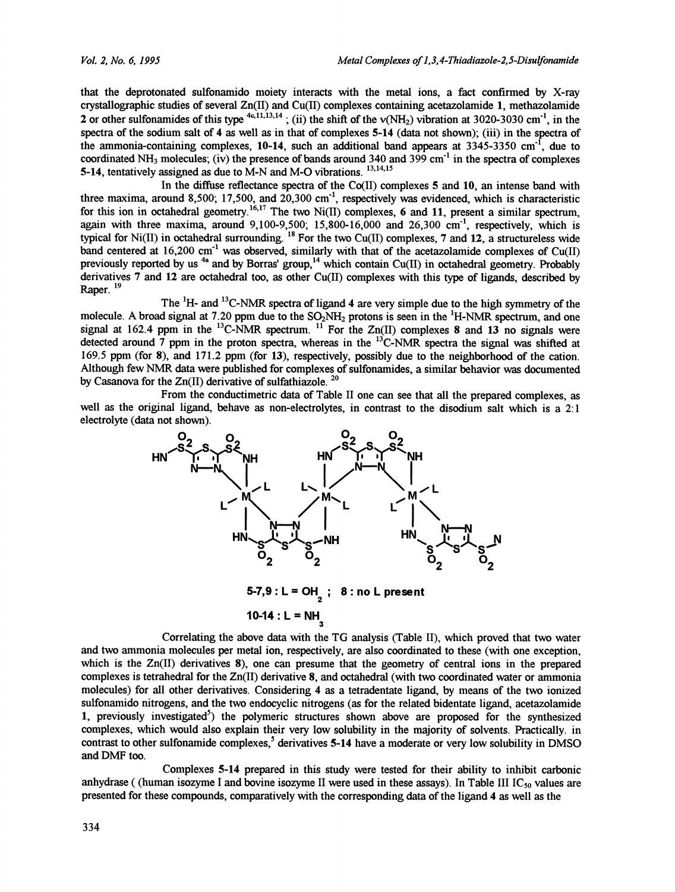that the deprotonated sulfonamido moiety interacts with the metal ions, a fact confirmed by X-ray crystallographic studies of several Zn(II) and Cu(II) complexes containing acetazolamide 1, methazolamide 2 or other sulfonamides of this type  $46,11,13,14$ ; (ii) the shift of the v(NH<sub>2</sub>) vibration at 3020-3030 cm<sup>-1</sup>, in the spectra of the sodium salt of 4 as well as in that of complexes 5-14 (data not shown); (iii) in the spectra of the ammonia-containing complexes, 10-14, such an additional band appears at 3345-3350 cm<sup>-1</sup>, due to coordinated  $NH_3$  molecules; (iv) the presence of bands around 340 and 399 cm<sup>-1</sup> in the spectra of complexes 5-14, tentatively assigned as due to M-N and M-O vibrations.  $^{13,14,15}$ 

In the diffuse reflectance spectra of the Co(II) complexes 5 and 10, an intense band with three maxima, around 8,500; 17,500, and 20,300 cm"1, respectively was evidenced, which is characteristic for this ion in octahedral geometry.<sup>16,17</sup> The two Ni(II) complexes, 6 and 11, present a similar spectrum, again with three maxima, around  $9,100-9,500$ ;  $15,800-16,000$  and  $26,300$  cm<sup>-1</sup>, respectively, which is typical for Ni(II) in octahedral surrounding. <sup>18</sup> For the two Cu(II) complexes, 7 and 12, a structureless wide band centered at 16,200 cm<sup>-1</sup> was observed, similarly with that of the acetazolamide complexes of Cu(II) previously reported by us  $4a$  and by Borras' group,  $14$  which contain Cu(II) in octahedral geometry. Probably derivatives 7 and 12 are octahedral too, as other Cu(II) complexes with this type of ligands, described by Raper.<sup>19</sup>

The <sup>1</sup>H- and <sup>13</sup>C-NMR spectra of ligand 4 are very simple due to the high symmetry of the molecule. A broad signal at 7.20 ppm due to the SO<sub>2</sub>NH<sub>2</sub> protons is seen in the <sup>1</sup>H-NMR spectrum, and one signal at 162.4 ppm in the  $^{13}$ C-NMR spectrum.  $^{11}$  For the Zn(II) complexes 8 and 13 no signals were detected around 7 ppm in the proton spectra, whereas in the <sup>13</sup>C-NMR spectra the signal was shifted at 169.5 ppm (for 8), and 171.2 ppm (for 13), respectively, possibly due to the neighborhood of the cation. Although few NMR data were published for complexes of sulfonamides, <sup>a</sup> similar behavior was documented by Casanova for the  $Zn(II)$  derivative of sulfathiazole.<sup>20</sup>

From the conductimetric data of Table II one can see that all the prepared complexes, as well as the original ligand, behave as non-electrolytes, in contrast to the disodium salt which is a 2:1 electrolyte (data not shown).



 $10-14$  : L = NH

Correlating the above data with the TG analysis (Table II), which proved that two water and two ammonia molecules per metal ion, respectively, are also coordinated to these (with one exception, which is the Zn(II) derivatives 8), one can presume that the geometry of central ions in the prepared complexes is tetrahedral for the  $Zn(II)$  derivative 8, and octahedral (with two coordinated water or ammonia molecules) for all other derivatives. Considering 4 as a tetradentate ligand, by means of the two ionized sulfonamido nitrogens, and the two endocyclic nitrogens (as for the related bidentate ligand, acetazolamide 1, previously investigated<sup>5</sup>) the polymeric structures shown above are proposed for the synthesized complexes, which would also explain their very low solubility in the majority of solvents. Practically. in contrast to other sulfonamide complexes, derivatives  $5-14$  have a moderate or very low solubility in DMSO and DMF too.

Complexes 5-14 prepared in this study were tested for their ability to inhibit carbonic anhydrase ( (human isozyme I and bovine isozyme II were used in these assays). In Table III  $IC_{50}$  values are presented for these compounds, comparatively with the corresponding data of the ligand 4 as well as the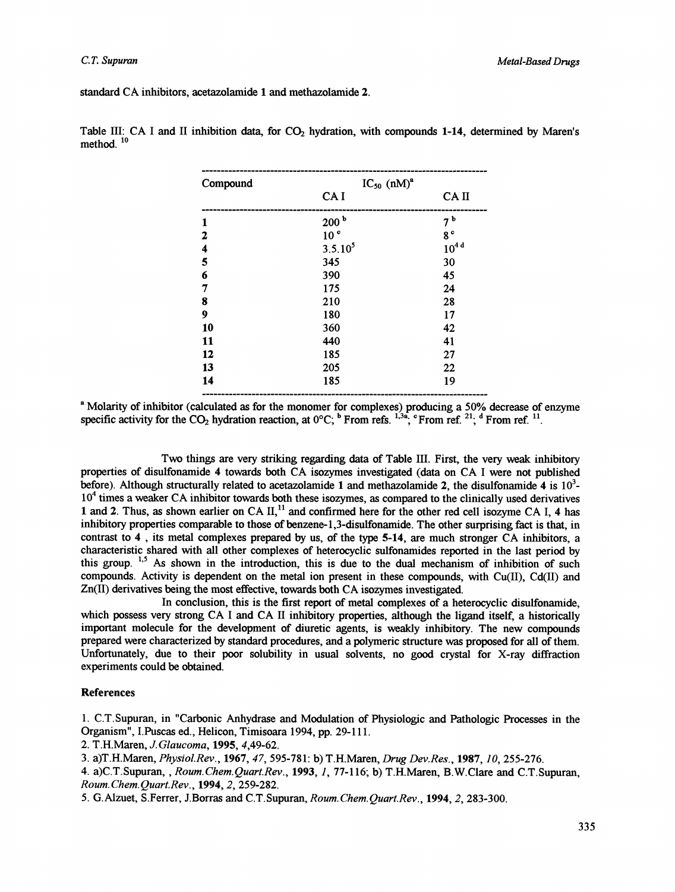standard CA inhibitors, acetazolamide <sup>1</sup> and methazolamide 2.

| Compound                 | $IC_{50}$ (nM) <sup>a</sup> |
|--------------------------|-----------------------------|
| CA <sub>I</sub>          | CA II                       |
| 200 <sup>b</sup><br>1    | 7 <sup>b</sup>              |
| 10 <sup>°</sup><br>2     | $8^{\circ}$                 |
| 3.5.10 <sup>5</sup><br>4 | $10^{4 d}$                  |
| 5<br>345                 | 30                          |
| 6<br>390                 | 45                          |
| 175<br>7                 | 24                          |
| 8<br>210                 | 28                          |
| 9<br>180                 | 17                          |
| 10<br>360                | 42                          |
| 440<br>11                | 41                          |
| 12<br>185                | 27                          |
| 13<br>205                | 22                          |
| 14<br>185                | 19                          |

Table III: CA I and II inhibition data, for CO<sub>2</sub> hydration, with compounds 1-14, determined by Maren's method.<sup>10</sup>

"Molarity of inhibitor (calculated as for the monomer for complexes) producing a 50% decrease of enzyme specific activity for the CO<sub>2</sub> hydration reaction, at 0°C; <sup>b</sup> From refs. <sup>1,3a</sup>; <sup>c</sup> From ref. <sup>21</sup>; <sup>d</sup> From ref. <sup>11</sup>.

Two things are very striking regarding data of Table III. First, the very weak inhibitory properties of disulfonamide <sup>4</sup> towards both CA isozymes investigated (data on CA <sup>I</sup> were not published before). Although structurally related to acetazolamide 1 and methazolamide 2, the disulfonamide 4 is  $10<sup>3</sup>$ - $10<sup>4</sup>$  times a weaker CA inhibitor towards both these isozymes, as compared to the clinically used derivatives 1 and 2. Thus, as shown earlier on CA II,<sup>11</sup> and confirmed here for the other red cell isozyme CA I, 4 has inhibitory properties comparable to those of benzene-1,3-disulfonamide. The other surprising fact is that, in contrast to 4, its metal complexes prepared by us, of the type 5-14, are much stronger CA inhibitors, <sup>a</sup> characteristic shared with all other complexes of heterocyclic sulfonamides reported in the last period by this group.  $1.5$  As shown in the introduction, this is due to the dual mechanism of inhibition of such compounds. Activity is dependent on the metal ion present in these compounds, with Cu(II), Cd(II) and Zn(II) derivatives being the most effective, towards both CA isozymes investigated.

In conclusion, this is the first report of metal complexes of a heterocyclic disulfonamide, which possess very strong CA I and CA II inhibitory properties, although the ligand itself, a historically important molecule for the development of diuretic agents, is weakly inhibitory. The new compounds prepared were characterized by standard procedures, and a polymeric structure was proposed for all of them. Unfortunately, due to their poor solubility in usual solvents, no good crystal for X-ray diffraction experiments could be obtained.

#### References

1. C.T.Supuran, in "Carbonic Anhydrase and Modulation of Physiologic and Pathologic Processes in the Organism", I.Puscas ed., Helicon, Timisoara 1994, pp. 29-111.

2. T.H.Maren, J.Glaucoma, 1995, 4,49-62.

4. a)C.T.Supuran,, Roum.Chem.Quart.Rev., 1993, 1, 77-116; b) T.H.Maren, B.W.Clare and C.T.Supuran, Roum. Chem.Quart.Rev., 1994, 2, 259-282.

<sup>3.</sup> a)T.H.Maren, *Physiol.Rev.*, 1967, 47, 595-781; b) T.H.Maren, *Drug Dev.Res.*, 1987, 10, 255-276.

<sup>5.</sup> G.Alzuet, S.Ferrer, J.Borras and C.T.Supuran, Roum. Chem. Quart.Rev., 1994, 2, 283-300.